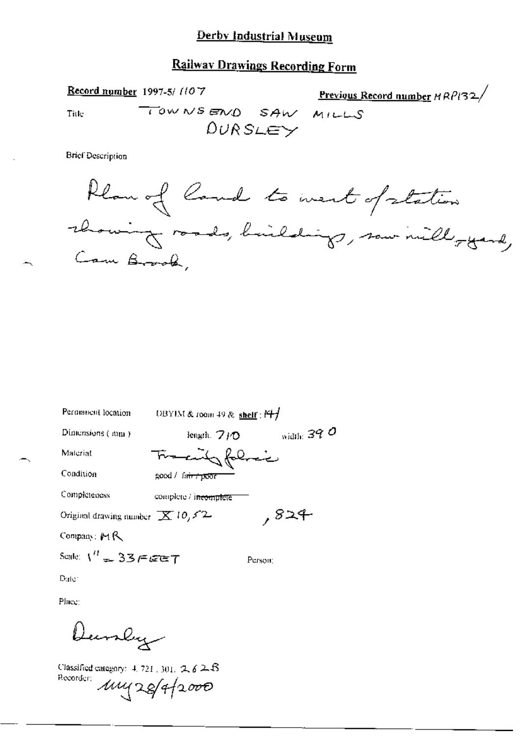# **Railway Drawings Recording Form**

Record number 1997-5/1107 **Previous Record number HRPI32/** TOWNSEND SAW MILLS Title  $DURSLEY$ 

**Brief Description** 

∽.

| Permanent location                         | DBYIM & room 49 & shelf : $Hf$    |              |
|--------------------------------------------|-----------------------------------|--------------|
| Dimensions (mm)                            | length, $7/0$                     | width: $390$ |
| Materiat                                   | Tracity folice                    |              |
| Condition                                  | good / fa <del>ir / poor</del>    |              |
| Completeness                               | complete / i <del>ncomplete</del> |              |
| Original drawing number $\mathbb{X}$ 10,52 |                                   | ,824         |
| Company: MR                                |                                   |              |
| Scale: $V' = 337767$                       |                                   | Person:      |

Dute:

Place:

Dunly

Classified category: 4, 721, 301, 2, 6 2, B Recorder 111428/4/2000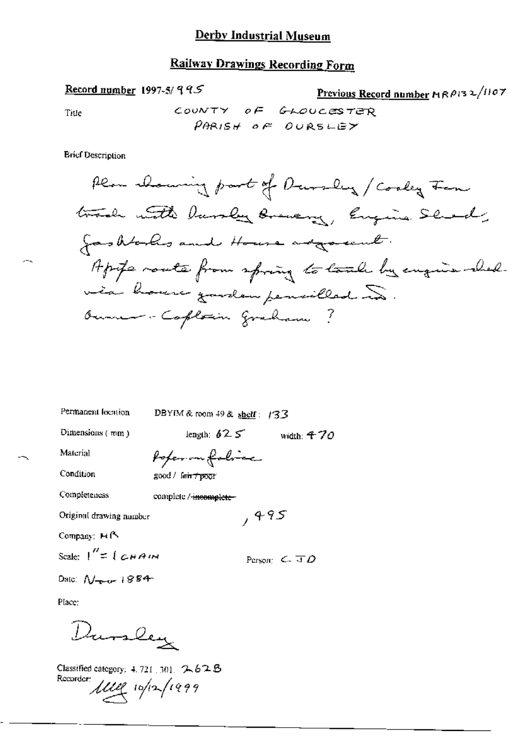## **Railway Drawings Recording Form**

Record number 1997-5/995

Previous Record number 19 RP132/1107

Title

COUNTY OF GLOUCESTER PARISH OF OURSLEY

**Brief Description** 

Permanent location

DBYIM & room 49 & shelf:  $/33$ 

Dimensions (mm)

length:  $625$  width: 470

 $,495$ 

Material

Poper on folice

Condition

good / fair +poor

Completeness complete /-incomplete-

Original drawing number

Company: M<sup>R</sup>

Scale:  $1'' = 1$   $CHAM$ 

Person:  $C = \overline{J} \overline{D}$ 

Date:  $N_{\text{max}}$  1884

Place:

Dursley

Classified category: 4, 721, 301, 2, 62B Recorder 1111 10/12/1999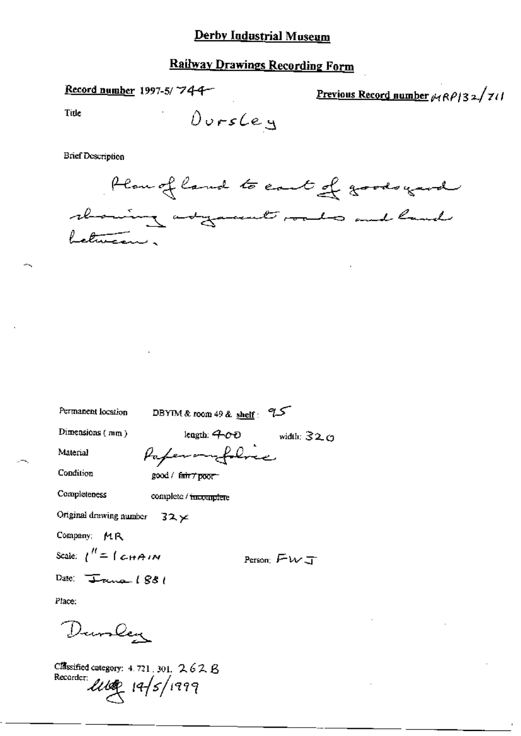### Derby Industrial Museum

## **Railway Drawings Recording Form**

Record number 1997-5/744-

Previous Record number  $\mu$ RP132/711

Title

Durscey

**Brief Description** 



| Permanent location                   | DBYIM & room 49 & shelf: $9.5$ |                 |
|--------------------------------------|--------------------------------|-----------------|
| Dimensions $(mn)$                    | length: 400                    | width: $32\,$ O |
| Material                             | Paperomofolice                 |                 |
| Condition                            | good / fair7 poor              |                 |
| Completeness                         | complete / incomplete          |                 |
| Original drawing number $32 \times$  |                                |                 |
| Company: MR                          |                                |                 |
| Scale: $1'' = 1$ CHAIN               |                                | Person: $FWJ$   |
| Date: $\sqrt{1 - \tan \theta}$ (881) |                                |                 |
| Place:                               |                                |                 |
| Dunley                               |                                |                 |

Classified category:  $4.721$ ,  $301$ ,  $2.62$   $B$ Recorder 2000 19/5/1999